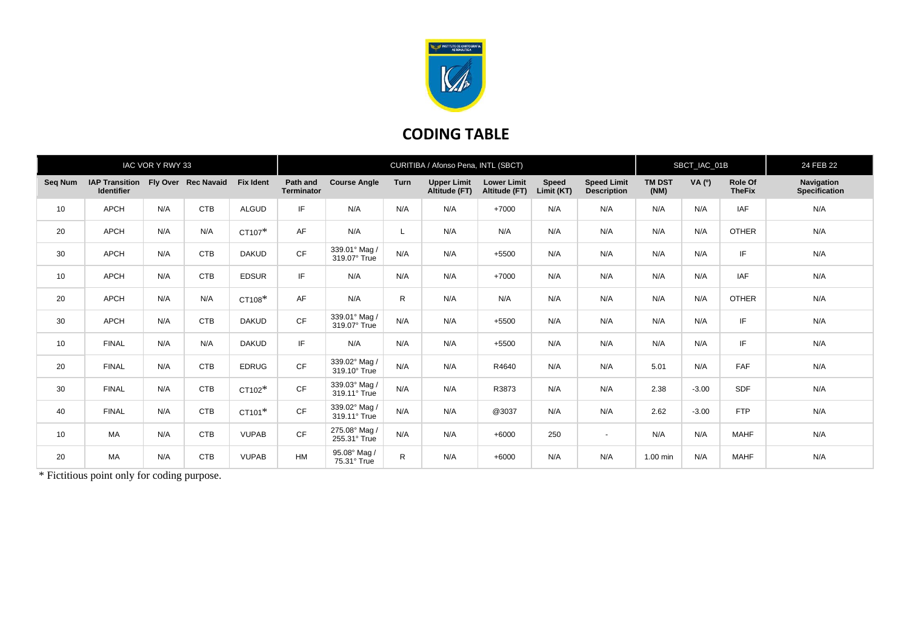

## **CODING TABLE**

| IAC VOR Y RWY 33 |                                                         |     |            |                  | CURITIBA / Afonso Pena, INTL (SBCT) |                               |      |                                     |                                     |                            |                                          | SBCT_IAC_01B          |         |                          | 24 FEB 22                                 |
|------------------|---------------------------------------------------------|-----|------------|------------------|-------------------------------------|-------------------------------|------|-------------------------------------|-------------------------------------|----------------------------|------------------------------------------|-----------------------|---------|--------------------------|-------------------------------------------|
| Seq Num          | IAP Transition Fly Over Rec Navaid<br><b>Identifier</b> |     |            | <b>Fix Ident</b> | Path and<br><b>Terminator</b>       | <b>Course Angle</b>           | Turn | <b>Upper Limit</b><br>Altitude (FT) | <b>Lower Limit</b><br>Altitude (FT) | <b>Speed</b><br>Limit (KT) | <b>Speed Limit</b><br><b>Description</b> | <b>TM DST</b><br>(NM) | VA (0)  | Role Of<br><b>TheFix</b> | <b>Navigation</b><br><b>Specification</b> |
| 10               | <b>APCH</b>                                             | N/A | <b>CTB</b> | <b>ALGUD</b>     | IF.                                 | N/A                           | N/A  | N/A                                 | $+7000$                             | N/A                        | N/A                                      | N/A                   | N/A     | <b>IAF</b>               | N/A                                       |
| 20               | <b>APCH</b>                                             | N/A | N/A        | CT107*           | AF                                  | N/A                           |      | N/A                                 | N/A                                 | N/A                        | N/A                                      | N/A                   | N/A     | <b>OTHER</b>             | N/A                                       |
| 30               | <b>APCH</b>                                             | N/A | <b>CTB</b> | <b>DAKUD</b>     | CF                                  | 339.01° Mag /<br>319.07° True | N/A  | N/A                                 | $+5500$                             | N/A                        | N/A                                      | N/A                   | N/A     | IF.                      | N/A                                       |
| 10               | <b>APCH</b>                                             | N/A | <b>CTB</b> | <b>EDSUR</b>     | IF.                                 | N/A                           | N/A  | N/A                                 | +7000                               | N/A                        | N/A                                      | N/A                   | N/A     | <b>IAF</b>               | N/A                                       |
| 20               | <b>APCH</b>                                             | N/A | N/A        | CT108*           | AF                                  | N/A                           | R    | N/A                                 | N/A                                 | N/A                        | N/A                                      | N/A                   | N/A     | <b>OTHER</b>             | N/A                                       |
| 30               | <b>APCH</b>                                             | N/A | <b>CTB</b> | <b>DAKUD</b>     | CF                                  | 339.01° Mag /<br>319.07° True | N/A  | N/A                                 | $+5500$                             | N/A                        | N/A                                      | N/A                   | N/A     | IF.                      | N/A                                       |
| 10               | <b>FINAL</b>                                            | N/A | N/A        | <b>DAKUD</b>     | IF.                                 | N/A                           | N/A  | N/A                                 | $+5500$                             | N/A                        | N/A                                      | N/A                   | N/A     | IF.                      | N/A                                       |
| 20               | <b>FINAL</b>                                            | N/A | <b>CTB</b> | <b>EDRUG</b>     | <b>CF</b>                           | 339.02° Mag /<br>319.10° True | N/A  | N/A                                 | R4640                               | N/A                        | N/A                                      | 5.01                  | N/A     | FAF                      | N/A                                       |
| 30               | <b>FINAL</b>                                            | N/A | <b>CTB</b> | CT102*           | CF                                  | 339.03° Mag /<br>319.11° True | N/A  | N/A                                 | R3873                               | N/A                        | N/A                                      | 2.38                  | $-3.00$ | <b>SDF</b>               | N/A                                       |
| 40               | <b>FINAL</b>                                            | N/A | <b>CTB</b> | CT101*           | <b>CF</b>                           | 339.02° Mag /<br>319.11° True | N/A  | N/A                                 | @3037                               | N/A                        | N/A                                      | 2.62                  | $-3.00$ | <b>FTP</b>               | N/A                                       |
| 10               | MA                                                      | N/A | <b>CTB</b> | <b>VUPAB</b>     | CF                                  | 275.08° Mag /<br>255.31° True | N/A  | N/A                                 | $+6000$                             | 250                        | $\overline{a}$                           | N/A                   | N/A     | <b>MAHF</b>              | N/A                                       |
| 20               | MA                                                      | N/A | <b>CTB</b> | <b>VUPAB</b>     | <b>HM</b>                           | 95.08° Mag /<br>75.31° True   | R    | N/A                                 | $+6000$                             | N/A                        | N/A                                      | 1.00 min              | N/A     | <b>MAHF</b>              | N/A                                       |

\* Fictitious point only for coding purpose.